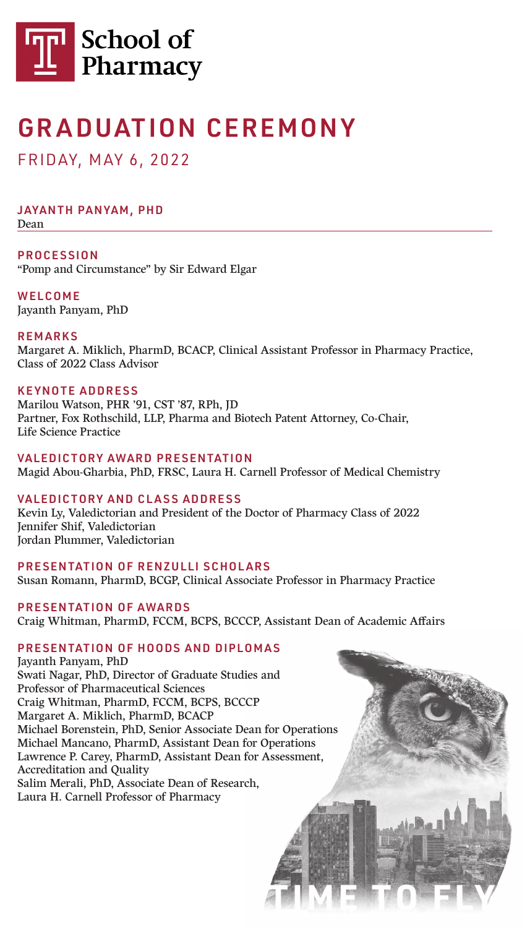JAYANTH PANYAM, PHD Dean

PROCESSION "Pomp and Circumstance" by Sir Edward Elgar

WELCOME Jayanth Panyam, PhD

#### REMARKS

Margaret A. Miklich, PharmD, BCACP, Clinical Assistant Professor in Pharmacy Practice, Class of 2022 Class Advisor

#### KEYNOTE ADDRESS

Marilou Watson, PHR '91, CST '87, RPh, JD Partner, Fox Rothschild, LLP, Pharma and Biotech Patent Attorney, Co-Chair, Life Science Practice

#### VALEDICTORY AWARD PRESENTATION

Magid Abou-Gharbia, PhD, FRSC, Laura H. Carnell Professor of Medical Chemistry

#### VALEDICTORY AND CLASS ADDRESS

Kevin Ly, Valedictorian and President of the Doctor of Pharmacy Class of 2022 Jennifer Shif, Valedictorian Jordan Plummer, Valedictorian

#### PRESENTATION OF RENZULLI SCHOLARS

Susan Romann, PharmD, BCGP, Clinical Associate Professor in Pharmacy Practice

#### PRESENTATION OF AWARDS

Craig Whitman, PharmD, FCCM, BCPS, BCCCP, Assistant Dean of Academic Affairs

#### PRESENTATION OF HOODS AND DIPLOMAS

Jayanth Panyam, PhD Swati Nagar, PhD, Director of Graduate Studies and Professor of Pharmaceutical Sciences Craig Whitman, PharmD, FCCM, BCPS, BCCCP Margaret A. Miklich, PharmD, BCACP Michael Borenstein, PhD, Senior Associate Dean for Operations Michael Mancano, PharmD, Assistant Dean for Operations Lawrence P. Carey, PharmD, Assistant Dean for Assessment, Accreditation and Quality Salim Merali, PhD, Associate Dean of Research, Laura H. Carnell Professor of Pharmacy





# GRADUATION CEREMONY

### FRIDAY, M AY 6, 2022